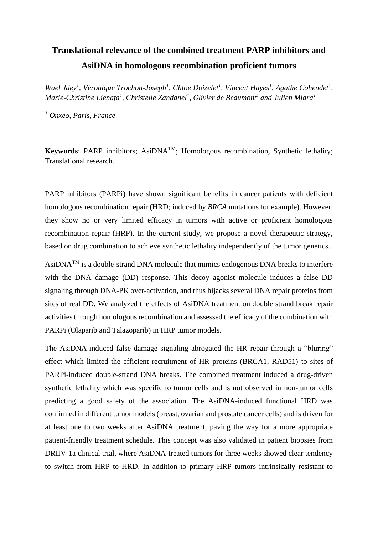## **Translational relevance of the combined treatment PARP inhibitors and AsiDNA in homologous recombination proficient tumors**

*Wael Jdey<sup>1</sup> , Véronique Trochon-Joseph<sup>1</sup> , Chloé Doizelet<sup>1</sup> , Vincent Hayes<sup>1</sup> , Agathe Cohendet<sup>1</sup> ,*   $M$ arie-Christine Lienafa<sup>1</sup>, Christelle Zandanel<sup>1</sup>, Olivier de Beaumont<sup>1</sup> and Julien Miara<sup>1</sup>

*<sup>1</sup> Onxeo, Paris, France*

**Keywords**: PARP inhibitors; AsiDNATM; Homologous recombination, Synthetic lethality; Translational research.

PARP inhibitors (PARPi) have shown significant benefits in cancer patients with deficient homologous recombination repair (HRD; induced by *BRCA* mutations for example). However, they show no or very limited efficacy in tumors with active or proficient homologous recombination repair (HRP). In the current study, we propose a novel therapeutic strategy, based on drug combination to achieve synthetic lethality independently of the tumor genetics.

AsiDNATM is a double-strand DNA molecule that mimics endogenous DNA breaks to interfere with the DNA damage (DD) response. This decoy agonist molecule induces a false DD signaling through DNA-PK over-activation, and thus hijacks several DNA repair proteins from sites of real DD. We analyzed the effects of AsiDNA treatment on double strand break repair activities through homologous recombination and assessed the efficacy of the combination with PARPi (Olaparib and Talazoparib) in HRP tumor models.

The AsiDNA-induced false damage signaling abrogated the HR repair through a "bluring" effect which limited the efficient recruitment of HR proteins (BRCA1, RAD51) to sites of PARPi-induced double-strand DNA breaks. The combined treatment induced a drug-driven synthetic lethality which was specific to tumor cells and is not observed in non-tumor cells predicting a good safety of the association. The AsiDNA-induced functional HRD was confirmed in different tumor models (breast, ovarian and prostate cancer cells) and is driven for at least one to two weeks after AsiDNA treatment, paving the way for a more appropriate patient-friendly treatment schedule. This concept was also validated in patient biopsies from DRIIV-1a clinical trial, where AsiDNA-treated tumors for three weeks showed clear tendency to switch from HRP to HRD. In addition to primary HRP tumors intrinsically resistant to